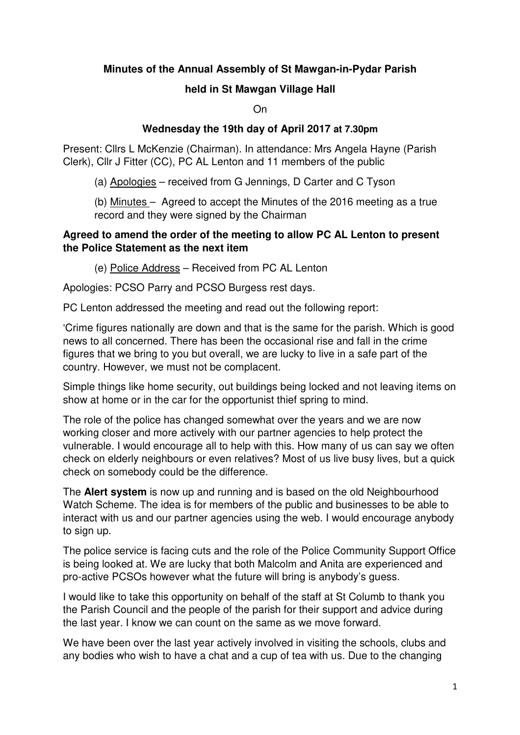# **Minutes of the Annual Assembly of St Mawgan-in-Pydar Parish**

#### **held in St Mawgan Village Hall**

On

#### **Wednesday the 19th day of April 2017 at 7.30pm**

Present: Cllrs L McKenzie (Chairman). In attendance: Mrs Angela Hayne (Parish Clerk), Cllr J Fitter (CC), PC AL Lenton and 11 members of the public

(a) Apologies – received from G Jennings, D Carter and C Tyson

 (b) Minutes – Agreed to accept the Minutes of the 2016 meeting as a true record and they were signed by the Chairman

#### **Agreed to amend the order of the meeting to allow PC AL Lenton to present the Police Statement as the next item**

(e) Police Address – Received from PC AL Lenton

Apologies: PCSO Parry and PCSO Burgess rest days.

PC Lenton addressed the meeting and read out the following report:

'Crime figures nationally are down and that is the same for the parish. Which is good news to all concerned. There has been the occasional rise and fall in the crime figures that we bring to you but overall, we are lucky to live in a safe part of the country. However, we must not be complacent.

Simple things like home security, out buildings being locked and not leaving items on show at home or in the car for the opportunist thief spring to mind.

The role of the police has changed somewhat over the years and we are now working closer and more actively with our partner agencies to help protect the vulnerable. I would encourage all to help with this. How many of us can say we often check on elderly neighbours or even relatives? Most of us live busy lives, but a quick check on somebody could be the difference.

The **Alert system** is now up and running and is based on the old Neighbourhood Watch Scheme. The idea is for members of the public and businesses to be able to interact with us and our partner agencies using the web. I would encourage anybody to sign up.

The police service is facing cuts and the role of the Police Community Support Office is being looked at. We are lucky that both Malcolm and Anita are experienced and pro-active PCSOs however what the future will bring is anybody's guess.

I would like to take this opportunity on behalf of the staff at St Columb to thank you the Parish Council and the people of the parish for their support and advice during the last year. I know we can count on the same as we move forward.

We have been over the last year actively involved in visiting the schools, clubs and any bodies who wish to have a chat and a cup of tea with us. Due to the changing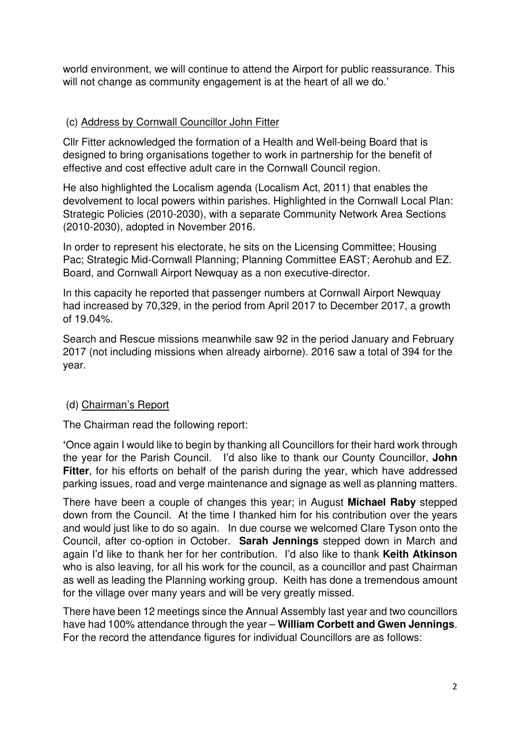world environment, we will continue to attend the Airport for public reassurance. This will not change as community engagement is at the heart of all we do.'

### (c) Address by Cornwall Councillor John Fitter

Cllr Fitter acknowledged the formation of a Health and Well-being Board that is designed to bring organisations together to work in partnership for the benefit of effective and cost effective adult care in the Cornwall Council region.

He also highlighted the Localism agenda (Localism Act, 2011) that enables the devolvement to local powers within parishes. Highlighted in the Cornwall Local Plan: Strategic Policies (2010-2030), with a separate Community Network Area Sections (2010-2030), adopted in November 2016.

In order to represent his electorate, he sits on the Licensing Committee; Housing Pac; Strategic Mid-Cornwall Planning; Planning Committee EAST; Aerohub and EZ. Board, and Cornwall Airport Newquay as a non executive-director.

In this capacity he reported that passenger numbers at Cornwall Airport Newquay had increased by 70,329, in the period from April 2017 to December 2017, a growth of 19.04%.

Search and Rescue missions meanwhile saw 92 in the period January and February 2017 (not including missions when already airborne). 2016 saw a total of 394 for the year.

# (d) Chairman's Report

The Chairman read the following report:

**'**Once again I would like to begin by thanking all Councillors for their hard work through the year for the Parish Council. I'd also like to thank our County Councillor, **John Fitter**, for his efforts on behalf of the parish during the year, which have addressed parking issues, road and verge maintenance and signage as well as planning matters.

There have been a couple of changes this year; in August **Michael Raby** stepped down from the Council. At the time I thanked him for his contribution over the years and would just like to do so again. In due course we welcomed Clare Tyson onto the Council, after co-option in October. **Sarah Jennings** stepped down in March and again I'd like to thank her for her contribution. I'd also like to thank **Keith Atkinson** who is also leaving, for all his work for the council, as a councillor and past Chairman as well as leading the Planning working group. Keith has done a tremendous amount for the village over many years and will be very greatly missed.

There have been 12 meetings since the Annual Assembly last year and two councillors have had 100% attendance through the year – **William Corbett and Gwen Jennings**. For the record the attendance figures for individual Councillors are as follows: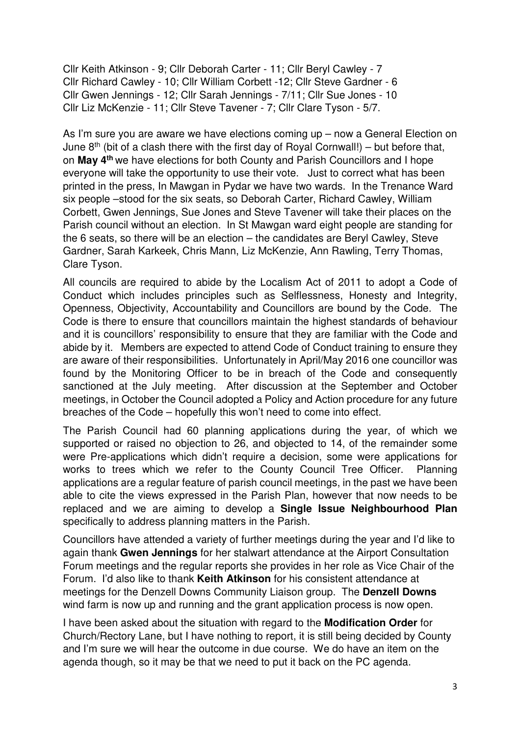Cllr Keith Atkinson - 9; Cllr Deborah Carter - 11; Cllr Beryl Cawley - 7 Cllr Richard Cawley - 10; Cllr William Corbett -12; Cllr Steve Gardner - 6 Cllr Gwen Jennings - 12; Cllr Sarah Jennings - 7/11; Cllr Sue Jones - 10 Cllr Liz McKenzie - 11; Cllr Steve Tavener - 7; Cllr Clare Tyson - 5/7.

As I'm sure you are aware we have elections coming up – now a General Election on June  $8<sup>th</sup>$  (bit of a clash there with the first day of Royal Cornwall!) – but before that, on **May 4th** we have elections for both County and Parish Councillors and I hope everyone will take the opportunity to use their vote. Just to correct what has been printed in the press, In Mawgan in Pydar we have two wards. In the Trenance Ward six people –stood for the six seats, so Deborah Carter, Richard Cawley, William Corbett, Gwen Jennings, Sue Jones and Steve Tavener will take their places on the Parish council without an election. In St Mawgan ward eight people are standing for the 6 seats, so there will be an election – the candidates are Beryl Cawley, Steve Gardner, Sarah Karkeek, Chris Mann, Liz McKenzie, Ann Rawling, Terry Thomas, Clare Tyson.

All councils are required to abide by the Localism Act of 2011 to adopt a Code of Conduct which includes principles such as Selflessness, Honesty and Integrity, Openness, Objectivity, Accountability and Councillors are bound by the Code. The Code is there to ensure that councillors maintain the highest standards of behaviour and it is councillors' responsibility to ensure that they are familiar with the Code and abide by it. Members are expected to attend Code of Conduct training to ensure they are aware of their responsibilities. Unfortunately in April/May 2016 one councillor was found by the Monitoring Officer to be in breach of the Code and consequently sanctioned at the July meeting. After discussion at the September and October meetings, in October the Council adopted a Policy and Action procedure for any future breaches of the Code – hopefully this won't need to come into effect.

The Parish Council had 60 planning applications during the year, of which we supported or raised no objection to 26, and objected to 14, of the remainder some were Pre-applications which didn't require a decision, some were applications for works to trees which we refer to the County Council Tree Officer. Planning applications are a regular feature of parish council meetings, in the past we have been able to cite the views expressed in the Parish Plan, however that now needs to be replaced and we are aiming to develop a **Single Issue Neighbourhood Plan** specifically to address planning matters in the Parish.

Councillors have attended a variety of further meetings during the year and I'd like to again thank **Gwen Jennings** for her stalwart attendance at the Airport Consultation Forum meetings and the regular reports she provides in her role as Vice Chair of the Forum. I'd also like to thank **Keith Atkinson** for his consistent attendance at meetings for the Denzell Downs Community Liaison group. The **Denzell Downs** wind farm is now up and running and the grant application process is now open.

I have been asked about the situation with regard to the **Modification Order** for Church/Rectory Lane, but I have nothing to report, it is still being decided by County and I'm sure we will hear the outcome in due course. We do have an item on the agenda though, so it may be that we need to put it back on the PC agenda.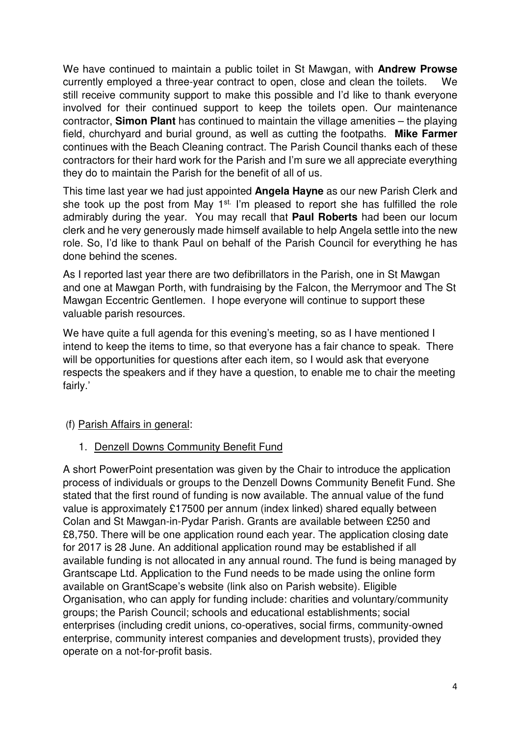We have continued to maintain a public toilet in St Mawgan, with **Andrew Prowse** currently employed a three-year contract to open, close and clean the toilets. We still receive community support to make this possible and I'd like to thank everyone involved for their continued support to keep the toilets open. Our maintenance contractor, **Simon Plant** has continued to maintain the village amenities – the playing field, churchyard and burial ground, as well as cutting the footpaths. **Mike Farmer** continues with the Beach Cleaning contract. The Parish Council thanks each of these contractors for their hard work for the Parish and I'm sure we all appreciate everything they do to maintain the Parish for the benefit of all of us.

This time last year we had just appointed **Angela Hayne** as our new Parish Clerk and she took up the post from May 1<sup>st.</sup> I'm pleased to report she has fulfilled the role admirably during the year. You may recall that **Paul Roberts** had been our locum clerk and he very generously made himself available to help Angela settle into the new role. So, I'd like to thank Paul on behalf of the Parish Council for everything he has done behind the scenes.

As I reported last year there are two defibrillators in the Parish, one in St Mawgan and one at Mawgan Porth, with fundraising by the Falcon, the Merrymoor and The St Mawgan Eccentric Gentlemen. I hope everyone will continue to support these valuable parish resources.

We have quite a full agenda for this evening's meeting, so as I have mentioned I intend to keep the items to time, so that everyone has a fair chance to speak. There will be opportunities for questions after each item, so I would ask that everyone respects the speakers and if they have a question, to enable me to chair the meeting fairly.'

### (f) Parish Affairs in general:

1. Denzell Downs Community Benefit Fund

A short PowerPoint presentation was given by the Chair to introduce the application process of individuals or groups to the Denzell Downs Community Benefit Fund. She stated that the first round of funding is now available. The annual value of the fund value is approximately £17500 per annum (index linked) shared equally between Colan and St Mawgan-in-Pydar Parish. Grants are available between £250 and £8,750. There will be one application round each year. The application closing date for 2017 is 28 June. An additional application round may be established if all available funding is not allocated in any annual round. The fund is being managed by Grantscape Ltd. Application to the Fund needs to be made using the online form available on GrantScape's website (link also on Parish website). Eligible Organisation, who can apply for funding include: charities and voluntary/community groups; the Parish Council; schools and educational establishments; social enterprises (including credit unions, co-operatives, social firms, community-owned enterprise, community interest companies and development trusts), provided they operate on a not-for-profit basis.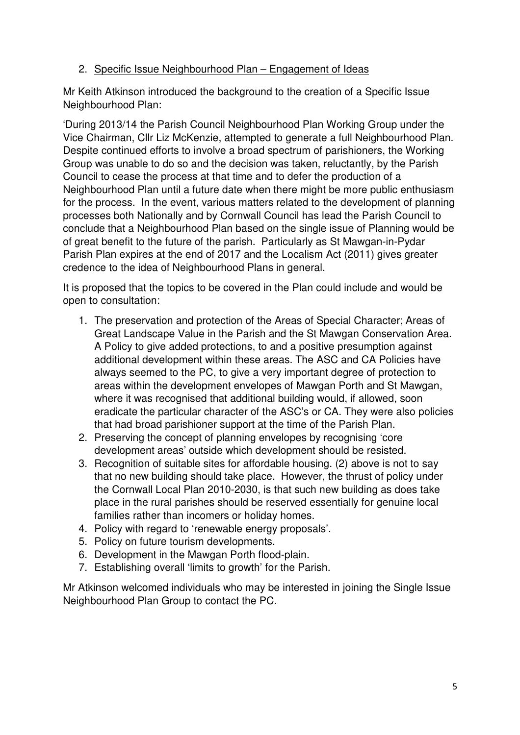# 2. Specific Issue Neighbourhood Plan – Engagement of Ideas

Mr Keith Atkinson introduced the background to the creation of a Specific Issue Neighbourhood Plan:

'During 2013/14 the Parish Council Neighbourhood Plan Working Group under the Vice Chairman, Cllr Liz McKenzie, attempted to generate a full Neighbourhood Plan. Despite continued efforts to involve a broad spectrum of parishioners, the Working Group was unable to do so and the decision was taken, reluctantly, by the Parish Council to cease the process at that time and to defer the production of a Neighbourhood Plan until a future date when there might be more public enthusiasm for the process. In the event, various matters related to the development of planning processes both Nationally and by Cornwall Council has lead the Parish Council to conclude that a Neighbourhood Plan based on the single issue of Planning would be of great benefit to the future of the parish. Particularly as St Mawgan-in-Pydar Parish Plan expires at the end of 2017 and the Localism Act (2011) gives greater credence to the idea of Neighbourhood Plans in general.

It is proposed that the topics to be covered in the Plan could include and would be open to consultation:

- 1. The preservation and protection of the Areas of Special Character; Areas of Great Landscape Value in the Parish and the St Mawgan Conservation Area. A Policy to give added protections, to and a positive presumption against additional development within these areas. The ASC and CA Policies have always seemed to the PC, to give a very important degree of protection to areas within the development envelopes of Mawgan Porth and St Mawgan, where it was recognised that additional building would, if allowed, soon eradicate the particular character of the ASC's or CA. They were also policies that had broad parishioner support at the time of the Parish Plan.
- 2. Preserving the concept of planning envelopes by recognising 'core development areas' outside which development should be resisted.
- 3. Recognition of suitable sites for affordable housing. (2) above is not to say that no new building should take place. However, the thrust of policy under the Cornwall Local Plan 2010-2030, is that such new building as does take place in the rural parishes should be reserved essentially for genuine local families rather than incomers or holiday homes.
- 4. Policy with regard to 'renewable energy proposals'.
- 5. Policy on future tourism developments.
- 6. Development in the Mawgan Porth flood-plain.
- 7. Establishing overall 'limits to growth' for the Parish.

Mr Atkinson welcomed individuals who may be interested in joining the Single Issue Neighbourhood Plan Group to contact the PC.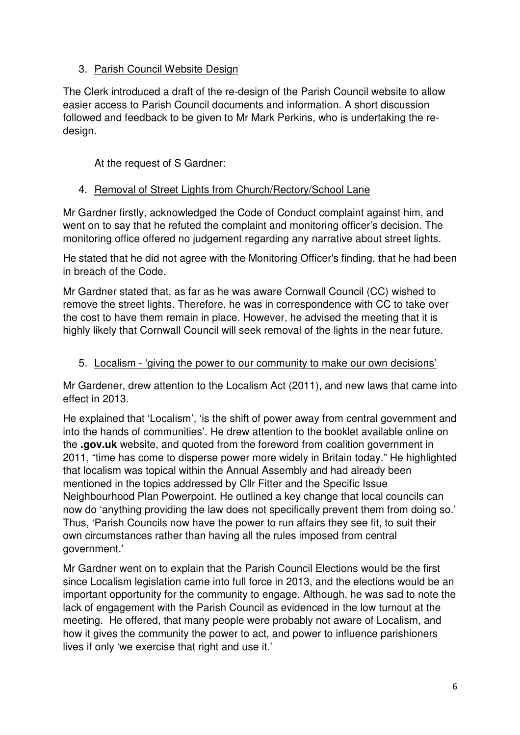# 3. Parish Council Website Design

The Clerk introduced a draft of the re-design of the Parish Council website to allow easier access to Parish Council documents and information. A short discussion followed and feedback to be given to Mr Mark Perkins, who is undertaking the redesign.

At the request of S Gardner:

# 4. Removal of Street Lights from Church/Rectory/School Lane

Mr Gardner firstly, acknowledged the Code of Conduct complaint against him, and went on to say that he refuted the complaint and monitoring officer's decision. The monitoring office offered no judgement regarding any narrative about street lights.

He stated that he did not agree with the Monitoring Officer's finding, that he had been in breach of the Code.

Mr Gardner stated that, as far as he was aware Cornwall Council (CC) wished to remove the street lights. Therefore, he was in correspondence with CC to take over the cost to have them remain in place. However, he advised the meeting that it is highly likely that Cornwall Council will seek removal of the lights in the near future.

### 5. Localism - 'giving the power to our community to make our own decisions'

Mr Gardener, drew attention to the Localism Act (2011), and new laws that came into effect in 2013.

He explained that 'Localism', 'is the shift of power away from central government and into the hands of communities'. He drew attention to the booklet available online on the **.gov.uk** website, and quoted from the foreword from coalition government in 2011, "time has come to disperse power more widely in Britain today." He highlighted that localism was topical within the Annual Assembly and had already been mentioned in the topics addressed by Cllr Fitter and the Specific Issue Neighbourhood Plan Powerpoint. He outlined a key change that local councils can now do 'anything providing the law does not specifically prevent them from doing so.' Thus, 'Parish Councils now have the power to run affairs they see fit, to suit their own circumstances rather than having all the rules imposed from central government.'

Mr Gardner went on to explain that the Parish Council Elections would be the first since Localism legislation came into full force in 2013, and the elections would be an important opportunity for the community to engage. Although, he was sad to note the lack of engagement with the Parish Council as evidenced in the low turnout at the meeting. He offered, that many people were probably not aware of Localism, and how it gives the community the power to act, and power to influence parishioners lives if only 'we exercise that right and use it.'